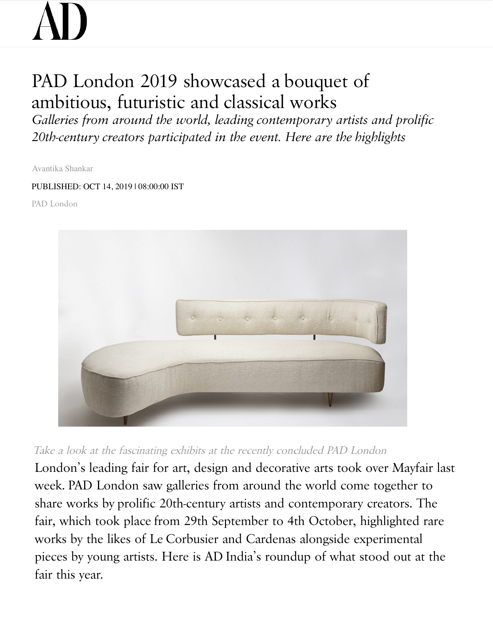## PAD London 2019 showcased a bouquet of ambitious, futuristic and classical works

*Galleries from around the world, leading contemporary artists and prolific 20th-century creators participated in the event. Here are the highlights*

Avantika Shankar

## PUBLISHED: OCT 14, 2019 | 08:00:00 IST

PAD London



Take a look at the fascinating exhibits at the recently concluded PAD London

London's leading fair for art, design and decorative arts took over Mayfair last week. PAD London saw galleries from around the world come together to share works by prolific 20th-century artists and contemporary creators. The fair, which took place from 29th September to 4th October, highlighted rare works by the likes of Le Corbusier and Cardenas alongside experimental pieces by young artists. Here is AD India's roundup of what stood out at the fair this year.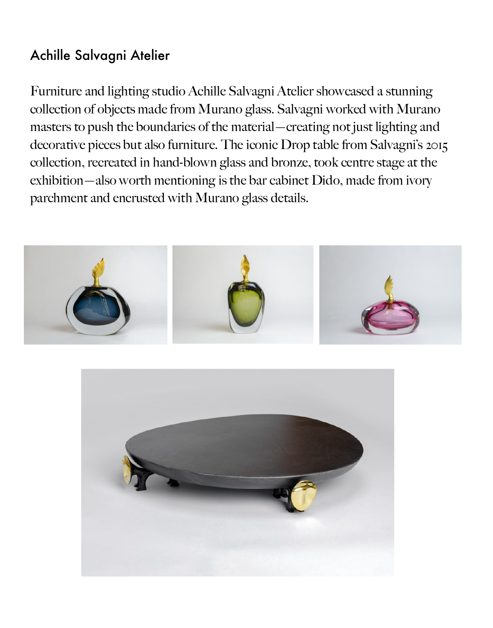## Achille Salvagni Atelier

Furniture and lighting studio Achille Salvagni Atelier showcased a st[unnin](javascript:%20void(0);)g collection of objects made from Murano glass. Salvagni worked with Mur[ano](javascript:%20void(0);)  masters to push the boundaries of the material—creating not just lighting and decorative pieces but also furniture. The iconic Drop table from Salvagni's 2015 collection, recreated in hand-blown glass and bronze, took centre stage at the exhibition—also worth mentioning is the bar cabinet Dido, made from ivory parchment and encrusted with Murano glass details.